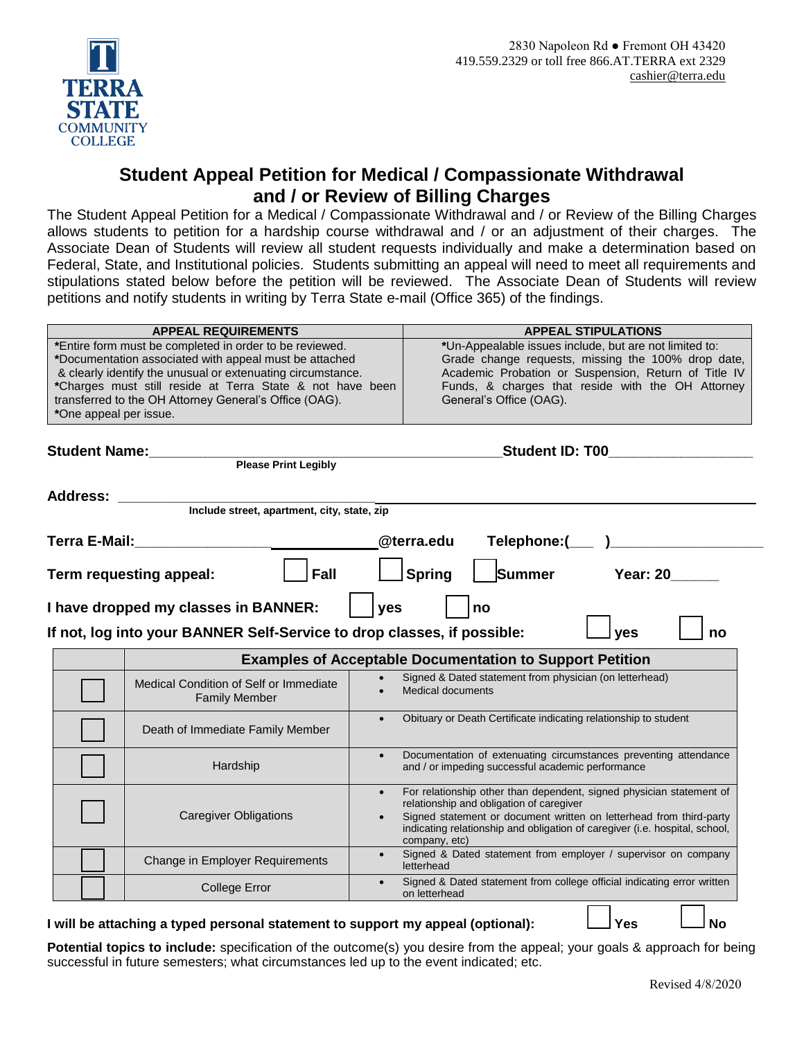

## **Student Appeal Petition for Medical / Compassionate Withdrawal and / or Review of Billing Charges**

The Student Appeal Petition for a Medical / Compassionate Withdrawal and / or Review of the Billing Charges allows students to petition for a hardship course withdrawal and / or an adjustment of their charges. The Associate Dean of Students will review all student requests individually and make a determination based on Federal, State, and Institutional policies. Students submitting an appeal will need to meet all requirements and stipulations stated below before the petition will be reviewed. The Associate Dean of Students will review petitions and notify students in writing by Terra State e-mail (Office 365) of the findings.

|                                                                                      | <b>APPEAL REQUIREMENTS</b>                                  | <b>APPEAL STIPULATIONS</b>                                                                                                                         |  |  |  |  |  |  |  |
|--------------------------------------------------------------------------------------|-------------------------------------------------------------|----------------------------------------------------------------------------------------------------------------------------------------------------|--|--|--|--|--|--|--|
|                                                                                      | *Entire form must be completed in order to be reviewed.     | *Un-Appealable issues include, but are not limited to:                                                                                             |  |  |  |  |  |  |  |
|                                                                                      | *Documentation associated with appeal must be attached      | Grade change requests, missing the 100% drop date,                                                                                                 |  |  |  |  |  |  |  |
|                                                                                      | & clearly identify the unusual or extenuating circumstance. | Academic Probation or Suspension, Return of Title IV                                                                                               |  |  |  |  |  |  |  |
|                                                                                      | *Charges must still reside at Terra State & not have been   | Funds, & charges that reside with the OH Attorney                                                                                                  |  |  |  |  |  |  |  |
|                                                                                      | transferred to the OH Attorney General's Office (OAG).      | General's Office (OAG).                                                                                                                            |  |  |  |  |  |  |  |
| *One appeal per issue.                                                               |                                                             |                                                                                                                                                    |  |  |  |  |  |  |  |
|                                                                                      |                                                             |                                                                                                                                                    |  |  |  |  |  |  |  |
| <b>Student Name:</b><br><b>Example 2016</b><br>Please Print Legibly                  |                                                             | <b>Student ID: T00</b>                                                                                                                             |  |  |  |  |  |  |  |
|                                                                                      |                                                             |                                                                                                                                                    |  |  |  |  |  |  |  |
|                                                                                      |                                                             |                                                                                                                                                    |  |  |  |  |  |  |  |
| <b>Address:</b>                                                                      | Include street, apartment, city, state, zip                 |                                                                                                                                                    |  |  |  |  |  |  |  |
|                                                                                      |                                                             |                                                                                                                                                    |  |  |  |  |  |  |  |
|                                                                                      |                                                             |                                                                                                                                                    |  |  |  |  |  |  |  |
|                                                                                      |                                                             | @terra.edu                                                                                                                                         |  |  |  |  |  |  |  |
|                                                                                      |                                                             |                                                                                                                                                    |  |  |  |  |  |  |  |
|                                                                                      | Fall<br>Term requesting appeal:                             | <b>Spring</b><br>Summer<br><b>Year: 20</b>                                                                                                         |  |  |  |  |  |  |  |
|                                                                                      |                                                             |                                                                                                                                                    |  |  |  |  |  |  |  |
| I have dropped my classes in BANNER:<br>yes<br>no                                    |                                                             |                                                                                                                                                    |  |  |  |  |  |  |  |
|                                                                                      |                                                             |                                                                                                                                                    |  |  |  |  |  |  |  |
| If not, log into your BANNER Self-Service to drop classes, if possible:<br>yes<br>no |                                                             |                                                                                                                                                    |  |  |  |  |  |  |  |
|                                                                                      |                                                             | <b>Examples of Acceptable Documentation to Support Petition</b>                                                                                    |  |  |  |  |  |  |  |
|                                                                                      | Medical Condition of Self or Immediate                      | Signed & Dated statement from physician (on letterhead)                                                                                            |  |  |  |  |  |  |  |
|                                                                                      |                                                             |                                                                                                                                                    |  |  |  |  |  |  |  |
|                                                                                      |                                                             | Medical documents                                                                                                                                  |  |  |  |  |  |  |  |
|                                                                                      | <b>Family Member</b>                                        |                                                                                                                                                    |  |  |  |  |  |  |  |
|                                                                                      |                                                             | Obituary or Death Certificate indicating relationship to student                                                                                   |  |  |  |  |  |  |  |
|                                                                                      | Death of Immediate Family Member                            |                                                                                                                                                    |  |  |  |  |  |  |  |
|                                                                                      |                                                             | Documentation of extenuating circumstances preventing attendance<br>$\bullet$                                                                      |  |  |  |  |  |  |  |
|                                                                                      | Hardship                                                    | and / or impeding successful academic performance                                                                                                  |  |  |  |  |  |  |  |
|                                                                                      |                                                             |                                                                                                                                                    |  |  |  |  |  |  |  |
|                                                                                      |                                                             | For relationship other than dependent, signed physician statement of                                                                               |  |  |  |  |  |  |  |
|                                                                                      |                                                             | relationship and obligation of caregiver                                                                                                           |  |  |  |  |  |  |  |
|                                                                                      | <b>Caregiver Obligations</b>                                | Signed statement or document written on letterhead from third-party<br>indicating relationship and obligation of caregiver (i.e. hospital, school, |  |  |  |  |  |  |  |
|                                                                                      |                                                             | company, etc)                                                                                                                                      |  |  |  |  |  |  |  |
|                                                                                      | Change in Employer Requirements                             | Signed & Dated statement from employer / supervisor on company<br>letterhead                                                                       |  |  |  |  |  |  |  |
|                                                                                      | <b>College Error</b>                                        | Signed & Dated statement from college official indicating error written<br>$\bullet$<br>on letterhead                                              |  |  |  |  |  |  |  |

## **I** will be attaching a typed personal statement to support my appeal (optional):  $\Box$  Yes  $\Box$  No

**Potential topics to include:** specification of the outcome(s) you desire from the appeal; your goals & approach for being successful in future semesters; what circumstances led up to the event indicated; etc.